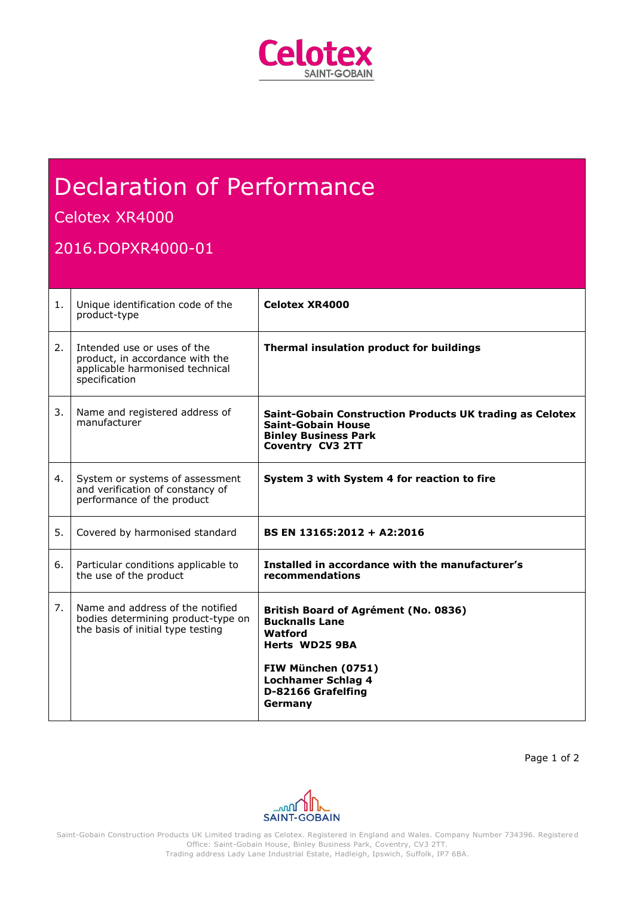

# Declaration of Performance

## Celotex XR4000

## 2016.DOPXR4000-01

| 1. | Unique identification code of the<br>product-type                                                                  | <b>Celotex XR4000</b>                                                                                                                                                          |
|----|--------------------------------------------------------------------------------------------------------------------|--------------------------------------------------------------------------------------------------------------------------------------------------------------------------------|
| 2. | Intended use or uses of the<br>product, in accordance with the<br>applicable harmonised technical<br>specification | Thermal insulation product for buildings                                                                                                                                       |
| 3. | Name and registered address of<br>manufacturer                                                                     | Saint-Gobain Construction Products UK trading as Celotex<br><b>Saint-Gobain House</b><br><b>Binley Business Park</b><br><b>Coventry CV3 2TT</b>                                |
| 4. | System or systems of assessment<br>and verification of constancy of<br>performance of the product                  | System 3 with System 4 for reaction to fire                                                                                                                                    |
| 5. | Covered by harmonised standard                                                                                     | BS EN 13165:2012 + A2:2016                                                                                                                                                     |
| 6. | Particular conditions applicable to<br>the use of the product                                                      | Installed in accordance with the manufacturer's<br>recommendations                                                                                                             |
| 7. | Name and address of the notified<br>bodies determining product-type on<br>the basis of initial type testing        | British Board of Agrément (No. 0836)<br><b>Bucknalls Lane</b><br>Watford<br>Herts WD25 9BA<br>FIW München (0751)<br><b>Lochhamer Schlag 4</b><br>D-82166 Grafelfing<br>Germany |

Page 1 of 2